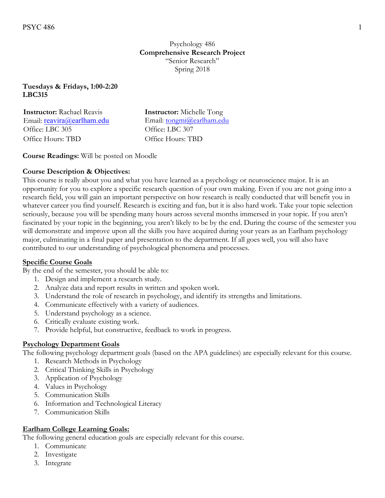### **Tuesdays & Fridays, 1:00-2:20 LBC315**

| <b>Instructor:</b> Rachael Reavis | <b>Instructor:</b> Michelle Tong |
|-----------------------------------|----------------------------------|
| Email: reavira@earlham.edu        | Email: tongmi@earlham.edu        |
| Office: LBC 305                   | Office: LBC 307                  |
| Office Hours: TBD                 | Office Hours: TBD                |

# **Course Readings:** Will be posted on Moodle

# **Course Description & Objectives:**

This course is really about you and what you have learned as a psychology or neuroscience major. It is an opportunity for you to explore a specific research question of your own making. Even if you are not going into a research field, you will gain an important perspective on how research is really conducted that will benefit you in whatever career you find yourself. Research is exciting and fun, but it is also hard work. Take your topic selection seriously, because you will be spending many hours across several months immersed in your topic. If you aren't fascinated by your topic in the beginning, you aren't likely to be by the end. During the course of the semester you will demonstrate and improve upon all the skills you have acquired during your years as an Earlham psychology major, culminating in a final paper and presentation to the department. If all goes well, you will also have contributed to our understanding of psychological phenomena and processes.

#### **Specific Course Goals**

By the end of the semester, you should be able to:

- 1. Design and implement a research study.
- 2. Analyze data and report results in written and spoken work.
- 3. Understand the role of research in psychology, and identify its strengths and limitations.
- 4. Communicate effectively with a variety of audiences.
- 5. Understand psychology as a science.
- 6. Critically evaluate existing work.
- 7. Provide helpful, but constructive, feedback to work in progress.

#### **Psychology Department Goals**

The following psychology department goals (based on the APA guidelines) are especially relevant for this course.

- 1. Research Methods in Psychology
- 2. Critical Thinking Skills in Psychology
- 3. Application of Psychology
- 4. Values in Psychology
- 5. Communication Skills
- 6. Information and Technological Literacy
- 7. Communication Skills

#### **Earlham College Learning Goals:**

The following general education goals are especially relevant for this course.

- 1. Communicate
- 2. Investigate
- 3. Integrate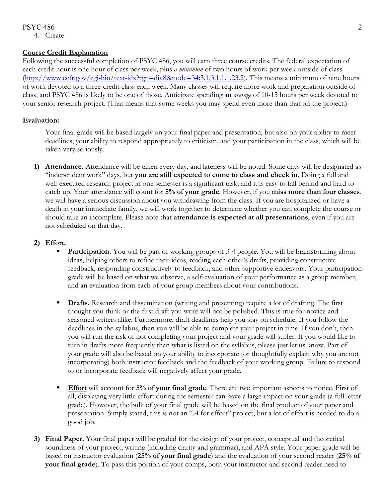### PSYC 486 2

4. Create

### **Course Credit Explanation**

Following the successful completion of PSYC 486, you will earn three course credits. The federal expectation of each credit hour is one hour of class per week, plus *a minimum* of two hours of work per week outside of class (http://www.ecfr.gov/cgi-bin/text-idx?rgn=div8&node=34:3.1.3.1.1.1.23.2). This means a minimum of nine hours of work devoted to a three-credit class each week. Many classes will require more work and preparation outside of class, and PSYC 486 is likely to be one of those. Anticipate spending an *average* of 10-15 hours per week devoted to your senior research project. (That means that some weeks you may spend even more than that on the project.)

### **Evaluation:**

Your final grade will be based largely on your final paper and presentation, but also on your ability to meet deadlines, your ability to respond appropriately to criticism, and your participation in the class, which will be taken very seriously.

**1) Attendance.** Attendance will be taken every day, and lateness will be noted. Some days will be designated as "independent work" days, but **you are still expected to come to class and check in**. Doing a full and well-executed research project in one semester is a significant task, and it is easy to fall behind and hard to catch up. Your attendance will count for **5% of your grade**. However, if you **miss more than four classes**, we will have a serious discussion about you withdrawing from the class. If you are hospitalized or have a death in your immediate family, we will work together to determine whether you can complete the course or should take an incomplete. Please note that **attendance is expected at all presentations**, even if you are not scheduled on that day.

# **2) Effort.**

- **Participation.** You will be part of working groups of 3-4 people. You will be brainstorming about ideas, helping others to refine their ideas, reading each other's drafts, providing constructive feedback, responding constructively to feedback, and other supportive endeavors. Your participation grade will be based on what we observe, a self-evaluation of your performance as a group member, and an evaluation from each of your group members about your contributions.
- **Drafts.** Research and dissemination (writing and presenting) require a lot of drafting. The first thought you think or the first draft you write will not be polished. This is true for novice and seasoned writers alike. Furthermore, draft deadlines help you stay on schedule. If you follow the deadlines in the syllabus, then you will be able to complete your project in time. If you don't, then you will run the risk of not completing your project and your grade will suffer. If you would like to turn in drafts more frequently than what is listed on the syllabus, please just let us know. Part of your grade will also be based on your ability to incorporate (or thoughtfully explain why you are not incorporating) both instructor feedback and the feedback of your working group. Failure to respond to or incorporate feedback will negatively affect your grade.
- **Effort** will account for **5% of your final grade**. There are two important aspects to notice. First of all, displaying very little effort during the semester can have a large impact on your grade (a full letter grade). However, the bulk of your final grade will be based on the final product of your paper and presentation. Simply stated, this is not an "*A* for effort" project, but a lot of effort is needed to do a good job.
- **3) Final Paper.** Your final paper will be graded for the design of your project, conceptual and theoretical soundness of your project, writing (including clarity and grammar), and APA style. Your paper grade will be based on instructor evaluation (**25% of your final grade**) and the evaluation of your second reader (**25% of your final grade**). To pass this portion of your comps, both your instructor and second reader need to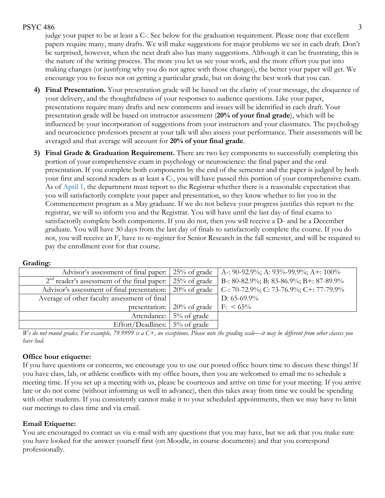# $PSYC 486$  3

judge your paper to be at least a C-. See below for the graduation requirement. Please note that excellent papers require many, many drafts. We will make suggestions for major problems we see in each draft. Don't be surprised, however, when the next draft also has many suggestions. Although it can be frustrating, this is the nature of the writing process. The more you let us see your work, and the more effort you put into making changes (or justifying why you do not agree with those changes), the better your paper will get. We encourage you to focus not on getting a particular grade, but on doing the best work that you can.

- **4) Final Presentation.** Your presentation grade will be based on the clarity of your message, the eloquence of your delivery, and the thoughtfulness of your responses to audience questions. Like your paper, presentations require many drafts and new comments and issues will be identified in each draft. Your presentation grade will be based on instructor assessment (**20% of your final grade**), which will be influenced by your incorporation of suggestions from your instructors and your classmates. The psychology and neuroscience professors present at your talk will also assess your performance. Their assessments will be averaged and that average will account for **20% of your final grade**.
- **5) Final Grade & Graduation Requirement.** There are two key components to successfully completing this portion of your comprehensive exam in psychology or neuroscience: the final paper and the oral presentation. If you complete both components by the end of the semester and the paper is judged by both your first and second readers as at least a C-, you will have passed this portion of your comprehensive exam. As of April 1, the department must report to the Registrar whether there is a reasonable expectation that you will satisfactorily complete your paper and presentation, so they know whether to list you in the Commencement program as a May graduate. If we do not believe your progress justifies this report to the registrar, we will so inform you and the Registrar. You will have until the last day of final exams to satisfactorily complete both components. If you do not, then you will receive a D- and be a December graduate. You will have 30 days from the last day of finals to satisfactorily complete the course. If you do not, you will receive an F, have to re-register for Senior Research in the fall semester, and will be required to pay the enrollment cost for that course.

| Advisor's assessment of final paper: 25% of grade                   |                                         | A-: 90-92.9%; A: 93%-99.9%; A+: $100\%$ |
|---------------------------------------------------------------------|-----------------------------------------|-----------------------------------------|
| $2nd$ reader's assessment of the final paper: $\vert 25\%$ of grade |                                         | B-: 80-82.9%; B: 83-86.9%; B+: 87-89.9% |
| Advisor's assessment of final presentation: 20% of grade            |                                         | C-: 70-72.9%; C: 73-76.9%; C+: 77-79.9% |
| Average of other faculty assessment of final                        |                                         | D: $65-69.9\%$                          |
|                                                                     | presentation: $\frac{20\%}{6}$ of grade | $F: \ 65\%$                             |
|                                                                     | Attendance: 5% of grade                 |                                         |
| Effort/Deadlines: $\frac{1}{2}\%$ of grade                          |                                         |                                         |

#### **Grading:**

*We do not round grades. For example, 79.9999 is a C+, no exceptions. Please note the grading scale—it may be different from other classes you have had.* 

# **Office hour etiquette:**

If you have questions or concerns, we encourage you to use our posted office hours time to discuss these things! If you have class, lab, or athletic conflicts with my office hours, then you are welcomed to email me to schedule a meeting time. If you set up a meeting with us, please be courteous and arrive on time for your meeting. If you arrive late or do not come (without informing us well in advance), then this takes away from time we could be spending with other students. If you consistently cannot make it to your scheduled appointments, then we may have to limit our meetings to class time and via email.

# **Email Etiquette:**

You are encouraged to contact us via e-mail with any questions that you may have, but we ask that you make sure you have looked for the answer yourself first (on Moodle, in course documents) and that you correspond professionally.